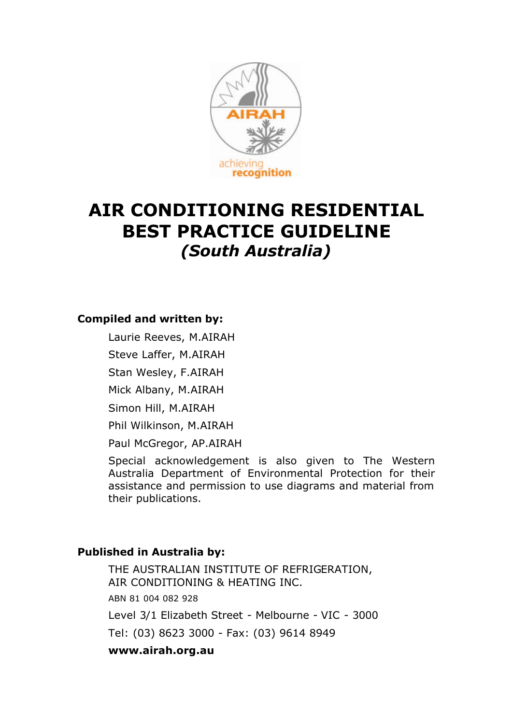

# **AIR CONDITIONING RESIDENTIAL BEST PRACTICE GUIDELINE** *(South Australia)*

#### **Compiled and written by:**

Laurie Reeves, M.AIRAH

Steve Laffer, M.AIRAH

Stan Wesley, F.AIRAH

Mick Albany, M.AIRAH

Simon Hill, M.AIRAH

Phil Wilkinson, M.AIRAH

Paul McGregor, AP.AIRAH

Special acknowledgement is also given to The Western Australia Department of Environmental Protection for their assistance and permission to use diagrams and material from their publications.

#### **Published in Australia by:**

THE AUSTRALIAN INSTITUTE OF REFRIGERATION, AIR CONDITIONING & HEATING INC. ABN 81 004 082 928 Level 3/1 Elizabeth Street - Melbourne - VIC - 3000 Tel: (03) 8623 3000 - Fax: (03) 9614 8949 **www.airah.org.au**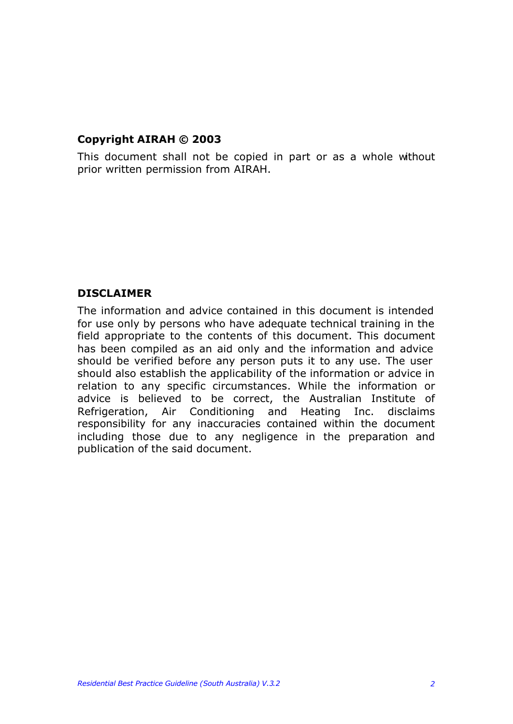#### **Copyright AIRAH © 2003**

This document shall not be copied in part or as a whole without prior written permission from AIRAH.

#### **DISCLAIMER**

The information and advice contained in this document is intended for use only by persons who have adequate technical training in the field appropriate to the contents of this document. This document has been compiled as an aid only and the information and advice should be verified before any person puts it to any use. The user should also establish the applicability of the information or advice in relation to any specific circumstances. While the information or advice is believed to be correct, the Australian Institute of Refrigeration, Air Conditioning and Heating Inc. disclaims responsibility for any inaccuracies contained within the document including those due to any negligence in the preparation and publication of the said document.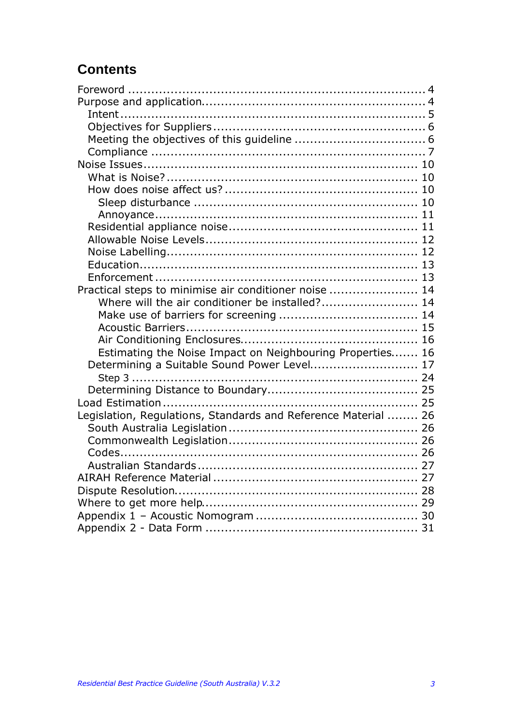# **Contents**

| Practical steps to minimise air conditioner noise  14<br>Where will the air conditioner be installed? 14<br>Estimating the Noise Impact on Neighbouring Properties 16<br>Determining a Suitable Sound Power Level 17 |
|----------------------------------------------------------------------------------------------------------------------------------------------------------------------------------------------------------------------|
|                                                                                                                                                                                                                      |
|                                                                                                                                                                                                                      |
|                                                                                                                                                                                                                      |
|                                                                                                                                                                                                                      |
|                                                                                                                                                                                                                      |
|                                                                                                                                                                                                                      |
|                                                                                                                                                                                                                      |
|                                                                                                                                                                                                                      |
|                                                                                                                                                                                                                      |
|                                                                                                                                                                                                                      |
|                                                                                                                                                                                                                      |
|                                                                                                                                                                                                                      |
|                                                                                                                                                                                                                      |
|                                                                                                                                                                                                                      |
|                                                                                                                                                                                                                      |
|                                                                                                                                                                                                                      |
|                                                                                                                                                                                                                      |
|                                                                                                                                                                                                                      |
|                                                                                                                                                                                                                      |
|                                                                                                                                                                                                                      |
|                                                                                                                                                                                                                      |
|                                                                                                                                                                                                                      |
|                                                                                                                                                                                                                      |
|                                                                                                                                                                                                                      |
|                                                                                                                                                                                                                      |
| Legislation, Regulations, Standards and Reference Material  26                                                                                                                                                       |
|                                                                                                                                                                                                                      |
|                                                                                                                                                                                                                      |
|                                                                                                                                                                                                                      |
|                                                                                                                                                                                                                      |
|                                                                                                                                                                                                                      |
|                                                                                                                                                                                                                      |
|                                                                                                                                                                                                                      |
|                                                                                                                                                                                                                      |
|                                                                                                                                                                                                                      |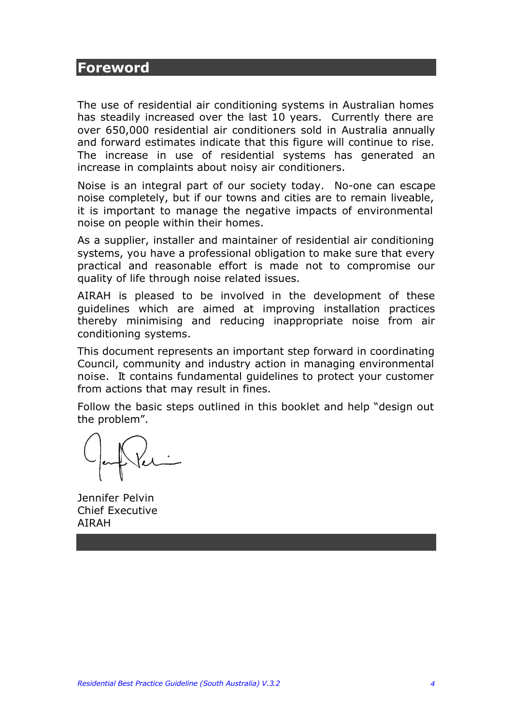### **Foreword**

The use of residential air conditioning systems in Australian homes has steadily increased over the last 10 years. Currently there are over 650,000 residential air conditioners sold in Australia annually and forward estimates indicate that this figure will continue to rise. The increase in use of residential systems has generated an increase in complaints about noisy air conditioners.

Noise is an integral part of our society today. No-one can escape noise completely, but if our towns and cities are to remain liveable, it is important to manage the negative impacts of environmental noise on people within their homes.

As a supplier, installer and maintainer of residential air conditioning systems, you have a professional obligation to make sure that every practical and reasonable effort is made not to compromise our quality of life through noise related issues.

AIRAH is pleased to be involved in the development of these guidelines which are aimed at improving installation practices thereby minimising and reducing inappropriate noise from air conditioning systems.

This document represents an important step forward in coordinating Council, community and industry action in managing environmental noise. It contains fundamental guidelines to protect your customer from actions that may result in fines.

Follow the basic steps outlined in this booklet and help "design out the problem".

Jennifer Pelvin Chief Executive AIRAH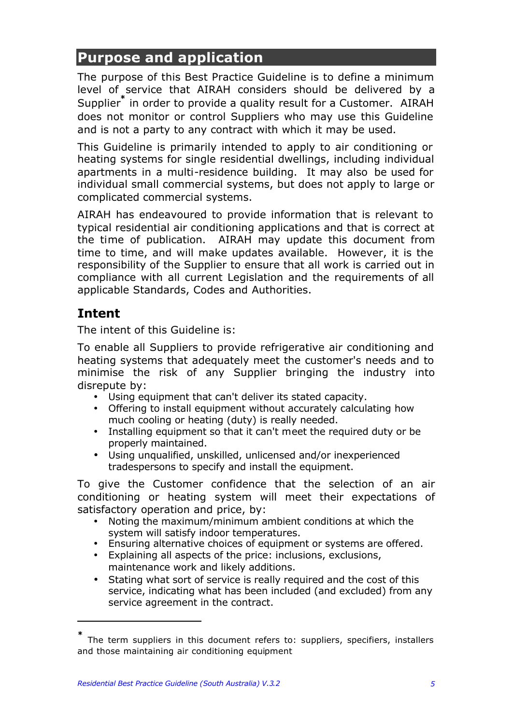# **Purpose and application**

The purpose of this Best Practice Guideline is to define a minimum level of service that AIRAH considers should be delivered by a Supplier**\*** in order to provide a quality result for a Customer. AIRAH does not monitor or control Suppliers who may use this Guideline and is not a party to any contract with which it may be used.

This Guideline is primarily intended to apply to air conditioning or heating systems for single residential dwellings, including individual apartments in a multi-residence building. It may also be used for individual small commercial systems, but does not apply to large or complicated commercial systems.

AIRAH has endeavoured to provide information that is relevant to typical residential air conditioning applications and that is correct at the time of publication. AIRAH may update this document from time to time, and will make updates available. However, it is the responsibility of the Supplier to ensure that all work is carried out in compliance with all current Legislation and the requirements of all applicable Standards, Codes and Authorities.

# **Intent**

 $\overline{a}$ 

The intent of this Guideline is:

To enable all Suppliers to provide refrigerative air conditioning and heating systems that adequately meet the customer's needs and to minimise the risk of any Supplier bringing the industry into disrepute by:

- Using equipment that can't deliver its stated capacity.
- Offering to install equipment without accurately calculating how much cooling or heating (duty) is really needed.
- Installing equipment so that it can't meet the required duty or be properly maintained.
- Using unqualified, unskilled, unlicensed and/or inexperienced tradespersons to specify and install the equipment.

To give the Customer confidence that the selection of an air conditioning or heating system will meet their expectations of satisfactory operation and price, by:

- Noting the maximum/minimum ambient conditions at which the system will satisfy indoor temperatures.
- Ensuring alternative choices of equipment or systems are offered.
- Explaining all aspects of the price: inclusions, exclusions, maintenance work and likely additions.
- Stating what sort of service is really required and the cost of this service, indicating what has been included (and excluded) from any service agreement in the contract.

**<sup>\*</sup>** The term suppliers in this document refers to: suppliers, specifiers, installers and those maintaining air conditioning equipment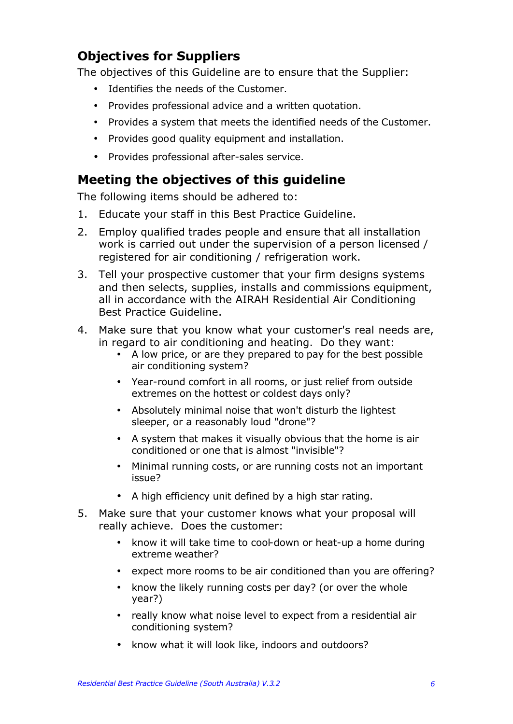# **Objectives for Suppliers**

The objectives of this Guideline are to ensure that the Supplier:

- Identifies the needs of the Customer.
- Provides professional advice and a written quotation.
- Provides a system that meets the identified needs of the Customer.
- Provides good quality equipment and installation.
- Provides professional after-sales service.

# **Meeting the objectives of this guideline**

The following items should be adhered to:

- 1. Educate your staff in this Best Practice Guideline.
- 2. Employ qualified trades people and ensure that all installation work is carried out under the supervision of a person licensed / registered for air conditioning / refrigeration work.
- 3. Tell your prospective customer that your firm designs systems and then selects, supplies, installs and commissions equipment, all in accordance with the AIRAH Residential Air Conditioning Best Practice Guideline.
- 4. Make sure that you know what your customer's real needs are, in regard to air conditioning and heating. Do they want:
	- A low price, or are they prepared to pay for the best possible air conditioning system?
	- Year-round comfort in all rooms, or just relief from outside extremes on the hottest or coldest days only?
	- Absolutely minimal noise that won't disturb the lightest sleeper, or a reasonably loud "drone"?
	- A system that makes it visually obvious that the home is air conditioned or one that is almost "invisible"?
	- Minimal running costs, or are running costs not an important issue?
	- A high efficiency unit defined by a high star rating.
- 5. Make sure that your customer knows what your proposal will really achieve. Does the customer:
	- know it will take time to cool-down or heat-up a home during extreme weather?
	- expect more rooms to be air conditioned than you are offering?
	- know the likely running costs per day? (or over the whole year?)
	- really know what noise level to expect from a residential air conditioning system?
	- know what it will look like, indoors and outdoors?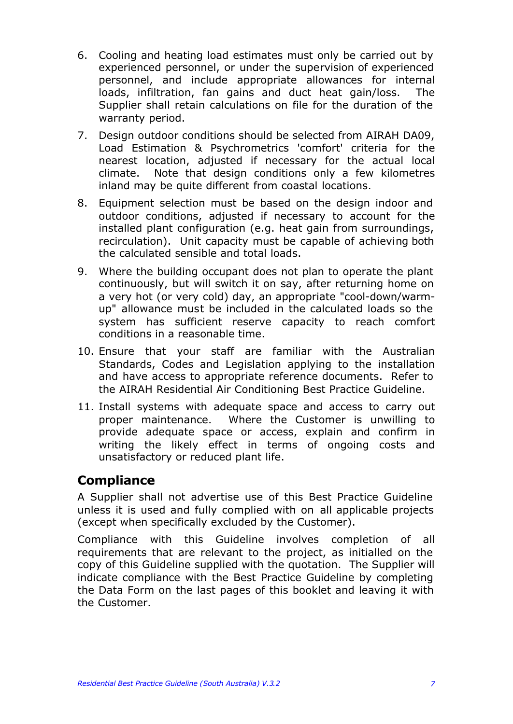- 6. Cooling and heating load estimates must only be carried out by experienced personnel, or under the supervision of experienced personnel, and include appropriate allowances for internal loads, infiltration, fan gains and duct heat gain/loss. The Supplier shall retain calculations on file for the duration of the warranty period.
- 7. Design outdoor conditions should be selected from AIRAH DA09, Load Estimation & Psychrometrics 'comfort' criteria for the nearest location, adjusted if necessary for the actual local climate. Note that design conditions only a few kilometres inland may be quite different from coastal locations.
- 8. Equipment selection must be based on the design indoor and outdoor conditions, adjusted if necessary to account for the installed plant configuration (e.g. heat gain from surroundings, recirculation). Unit capacity must be capable of achieving both the calculated sensible and total loads.
- 9. Where the building occupant does not plan to operate the plant continuously, but will switch it on say, after returning home on a very hot (or very cold) day, an appropriate "cool-down/warmup" allowance must be included in the calculated loads so the system has sufficient reserve capacity to reach comfort conditions in a reasonable time.
- 10. Ensure that your staff are familiar with the Australian Standards, Codes and Legislation applying to the installation and have access to appropriate reference documents. Refer to the AIRAH Residential Air Conditioning Best Practice Guideline.
- 11. Install systems with adequate space and access to carry out proper maintenance. Where the Customer is unwilling to provide adequate space or access, explain and confirm in writing the likely effect in terms of ongoing costs and unsatisfactory or reduced plant life.

### **Compliance**

A Supplier shall not advertise use of this Best Practice Guideline unless it is used and fully complied with on all applicable projects (except when specifically excluded by the Customer).

Compliance with this Guideline involves completion of all requirements that are relevant to the project, as initialled on the copy of this Guideline supplied with the quotation. The Supplier will indicate compliance with the Best Practice Guideline by completing the Data Form on the last pages of this booklet and leaving it with the Customer.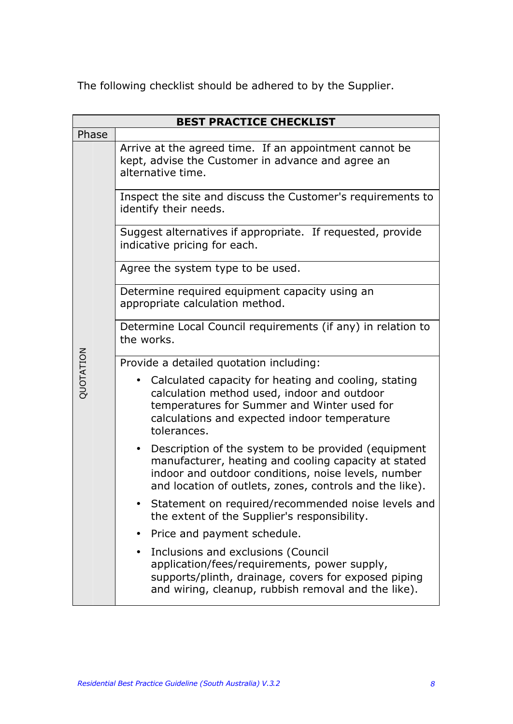The following checklist should be adhered to by the Supplier.

|           | <b>BEST PRACTICE CHECKLIST</b>                                                                                                                                                                                                             |  |  |  |  |  |  |  |  |  |
|-----------|--------------------------------------------------------------------------------------------------------------------------------------------------------------------------------------------------------------------------------------------|--|--|--|--|--|--|--|--|--|
| Phase     |                                                                                                                                                                                                                                            |  |  |  |  |  |  |  |  |  |
|           | Arrive at the agreed time. If an appointment cannot be<br>kept, advise the Customer in advance and agree an<br>alternative time.                                                                                                           |  |  |  |  |  |  |  |  |  |
|           | Inspect the site and discuss the Customer's requirements to<br>identify their needs.                                                                                                                                                       |  |  |  |  |  |  |  |  |  |
|           | Suggest alternatives if appropriate. If requested, provide<br>indicative pricing for each.                                                                                                                                                 |  |  |  |  |  |  |  |  |  |
|           | Agree the system type to be used.                                                                                                                                                                                                          |  |  |  |  |  |  |  |  |  |
|           | Determine required equipment capacity using an<br>appropriate calculation method.                                                                                                                                                          |  |  |  |  |  |  |  |  |  |
|           | Determine Local Council requirements (if any) in relation to<br>the works.                                                                                                                                                                 |  |  |  |  |  |  |  |  |  |
|           | Provide a detailed quotation including:                                                                                                                                                                                                    |  |  |  |  |  |  |  |  |  |
| QUOTATION | Calculated capacity for heating and cooling, stating<br>calculation method used, indoor and outdoor<br>temperatures for Summer and Winter used for<br>calculations and expected indoor temperature<br>tolerances.                          |  |  |  |  |  |  |  |  |  |
|           | Description of the system to be provided (equipment<br>$\bullet$<br>manufacturer, heating and cooling capacity at stated<br>indoor and outdoor conditions, noise levels, number<br>and location of outlets, zones, controls and the like). |  |  |  |  |  |  |  |  |  |
|           | Statement on required/recommended noise levels and<br>the extent of the Supplier's responsibility.                                                                                                                                         |  |  |  |  |  |  |  |  |  |
|           | Price and payment schedule.                                                                                                                                                                                                                |  |  |  |  |  |  |  |  |  |
|           | Inclusions and exclusions (Council<br>application/fees/requirements, power supply,<br>supports/plinth, drainage, covers for exposed piping<br>and wiring, cleanup, rubbish removal and the like).                                          |  |  |  |  |  |  |  |  |  |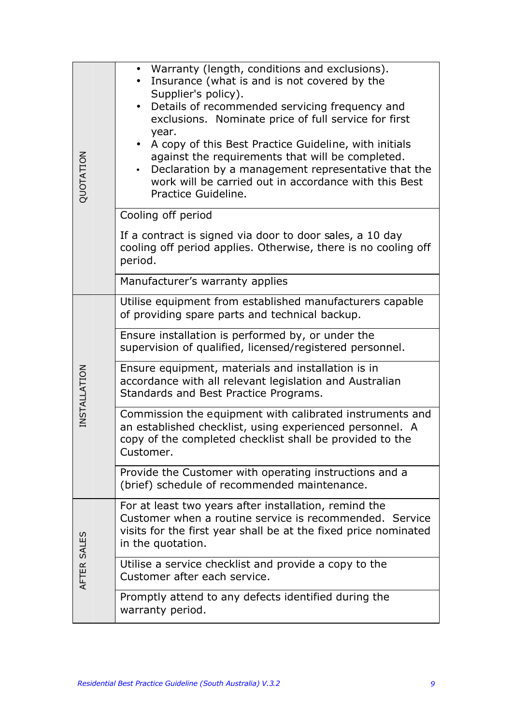| QUOTATION    | • Warranty (length, conditions and exclusions).<br>Insurance (what is and is not covered by the<br>Supplier's policy).<br>Details of recommended servicing frequency and<br>exclusions. Nominate price of full service for first<br>year.<br>A copy of this Best Practice Guideline, with initials<br>against the requirements that will be completed.<br>Declaration by a management representative that the<br>work will be carried out in accordance with this Best<br>Practice Guideline. |  |  |  |  |  |  |
|--------------|-----------------------------------------------------------------------------------------------------------------------------------------------------------------------------------------------------------------------------------------------------------------------------------------------------------------------------------------------------------------------------------------------------------------------------------------------------------------------------------------------|--|--|--|--|--|--|
|              | Cooling off period                                                                                                                                                                                                                                                                                                                                                                                                                                                                            |  |  |  |  |  |  |
|              | If a contract is signed via door to door sales, a 10 day<br>cooling off period applies. Otherwise, there is no cooling off<br>period.                                                                                                                                                                                                                                                                                                                                                         |  |  |  |  |  |  |
|              | Manufacturer's warranty applies                                                                                                                                                                                                                                                                                                                                                                                                                                                               |  |  |  |  |  |  |
|              | Utilise equipment from established manufacturers capable<br>of providing spare parts and technical backup.                                                                                                                                                                                                                                                                                                                                                                                    |  |  |  |  |  |  |
|              | Ensure installation is performed by, or under the<br>supervision of qualified, licensed/registered personnel.                                                                                                                                                                                                                                                                                                                                                                                 |  |  |  |  |  |  |
| INSTALLATION | Ensure equipment, materials and installation is in<br>accordance with all relevant legislation and Australian<br>Standards and Best Practice Programs.                                                                                                                                                                                                                                                                                                                                        |  |  |  |  |  |  |
|              | Commission the equipment with calibrated instruments and<br>an established checklist, using experienced personnel. A<br>copy of the completed checklist shall be provided to the<br>Customer.                                                                                                                                                                                                                                                                                                 |  |  |  |  |  |  |
|              | Provide the Customer with operating instructions and a<br>(brief) schedule of recommended maintenance.                                                                                                                                                                                                                                                                                                                                                                                        |  |  |  |  |  |  |
|              | For at least two years after installation, remind the<br>Customer when a routine service is recommended. Service<br>visits for the first year shall be at the fixed price nominated<br>in the quotation.                                                                                                                                                                                                                                                                                      |  |  |  |  |  |  |
| AFTER SALES  | Utilise a service checklist and provide a copy to the<br>Customer after each service.                                                                                                                                                                                                                                                                                                                                                                                                         |  |  |  |  |  |  |
|              | Promptly attend to any defects identified during the<br>warranty period.                                                                                                                                                                                                                                                                                                                                                                                                                      |  |  |  |  |  |  |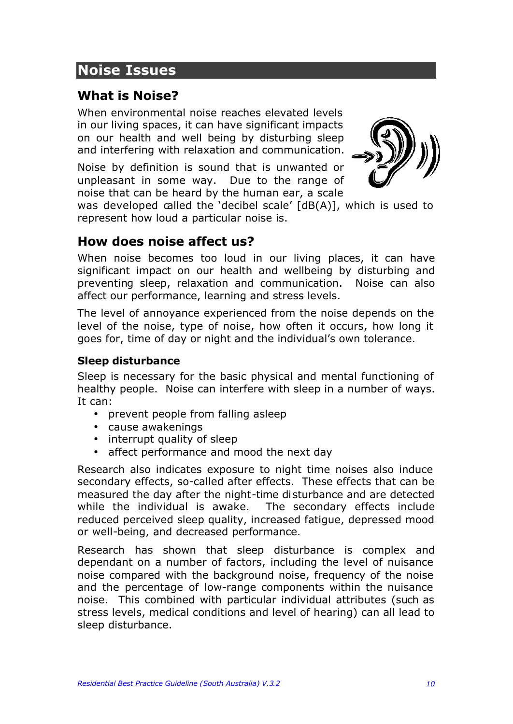# **Noise Issues**

# **What is Noise?**

When environmental noise reaches elevated levels in our living spaces, it can have significant impacts on our health and well being by disturbing sleep and interfering with relaxation and communication.

Noise by definition is sound that is unwanted or unpleasant in some way. Due to the range of noise that can be heard by the human ear, a scale



was developed called the 'decibel scale' [dB(A)], which is used to represent how loud a particular noise is.

### **How does noise affect us?**

When noise becomes too loud in our living places, it can have significant impact on our health and wellbeing by disturbing and preventing sleep, relaxation and communication. Noise can also affect our performance, learning and stress levels.

The level of annoyance experienced from the noise depends on the level of the noise, type of noise, how often it occurs, how long it goes for, time of day or night and the individual's own tolerance.

#### **Sleep disturbance**

Sleep is necessary for the basic physical and mental functioning of healthy people. Noise can interfere with sleep in a number of ways. It can:

- prevent people from falling asleep
- cause awakenings
- interrupt quality of sleep
- affect performance and mood the next day

Research also indicates exposure to night time noises also induce secondary effects, so-called after effects. These effects that can be measured the day after the night-time disturbance and are detected while the individual is awake. The secondary effects include reduced perceived sleep quality, increased fatigue, depressed mood or well-being, and decreased performance.

Research has shown that sleep disturbance is complex and dependant on a number of factors, including the level of nuisance noise compared with the background noise, frequency of the noise and the percentage of low-range components within the nuisance noise. This combined with particular individual attributes (such as stress levels, medical conditions and level of hearing) can all lead to sleep disturbance.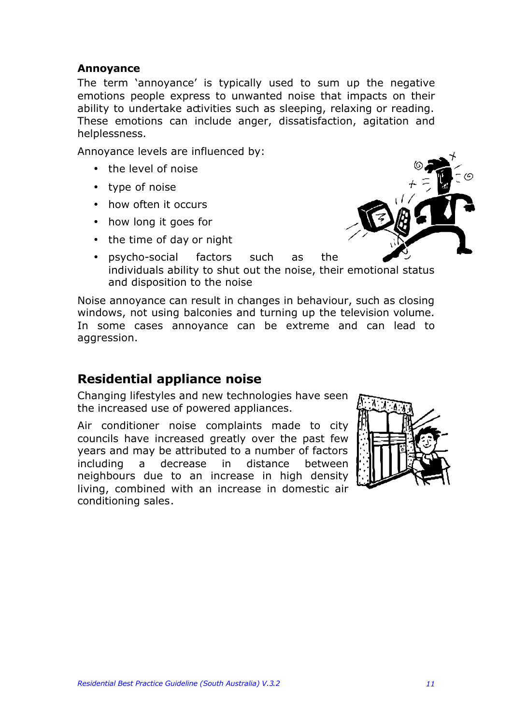#### **Annoyance**

The term 'annoyance' is typically used to sum up the negative emotions people express to unwanted noise that impacts on their ability to undertake activities such as sleeping, relaxing or reading. These emotions can include anger, dissatisfaction, agitation and helplessness.

Annoyance levels are influenced by:

- the level of noise
- type of noise
- how often it occurs
- how long it goes for
- the time of day or night



• psycho-social factors such as the individuals ability to shut out the noise, their emotional status and disposition to the noise

Noise annoyance can result in changes in behaviour, such as closing windows, not using balconies and turning up the television volume. In some cases annoyance can be extreme and can lead to aggression.

### **Residential appliance noise**

Changing lifestyles and new technologies have seen the increased use of powered appliances.

Air conditioner noise complaints made to city councils have increased greatly over the past few years and may be attributed to a number of factors including a decrease in distance between neighbours due to an increase in high density living, combined with an increase in domestic air conditioning sales.

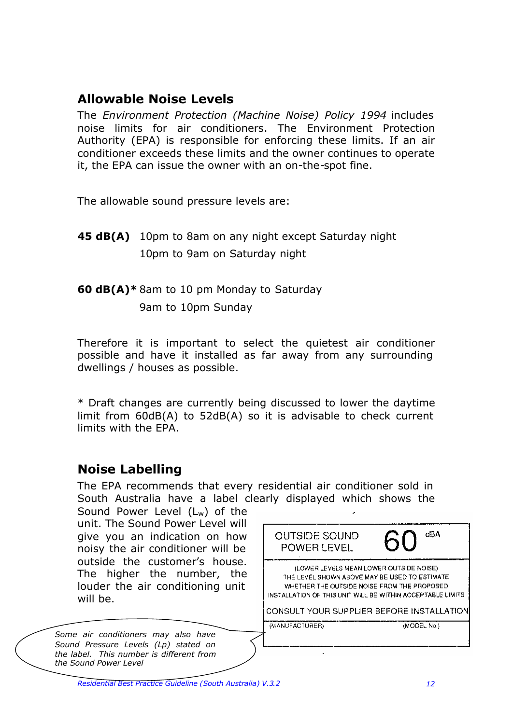### **Allowable Noise Levels**

The *Environment Protection (Machine Noise) Policy 1994* includes noise limits for air conditioners. The Environment Protection Authority (EPA) is responsible for enforcing these limits. If an air conditioner exceeds these limits and the owner continues to operate it, the EPA can issue the owner with an on-the-spot fine.

The allowable sound pressure levels are:

**45 dB(A)** 10pm to 8am on any night except Saturday night 10pm to 9am on Saturday night

#### **60 dB(A)\*** 8am to 10 pm Monday to Saturday

9am to 10pm Sunday

Therefore it is important to select the quietest air conditioner possible and have it installed as far away from any surrounding dwellings / houses as possible.

\* Draft changes are currently being discussed to lower the daytime limit from 60dB(A) to 52dB(A) so it is advisable to check current limits with the EPA.

### **Noise Labelling**

The EPA recommends that every residential air conditioner sold in South Australia have a label clearly displayed which shows the Sound Power Level (Lw) of the unit. The Sound Power Level will **dBA OUTSIDE SOUND** give you an indication on how POWER LEVEL noisy the air conditioner will be outside the customer's house. (LOWER LEVELS MEAN LOWER OUTSIDE NOISE) The higher the number, the THE LEVEL SHOWN ABOVE MAY BE USED TO ESTIMATE.

(MANUFACTURER)

WHETHER THE OUTSIDE NOISE FROM THE PROPOSED. INSTALLATION OF THIS UNIT WILL BE WITHIN ACCEPTABLE LIMITS.

CONSULT YOUR SUPPLIER BEFORE INSTALLATION

*Some air conditioners may also have Sound Pressure Levels (Lp) stated on the label. This number is different from the Sound Power Level*

will be.

louder the air conditioning unit

(MODEL No.)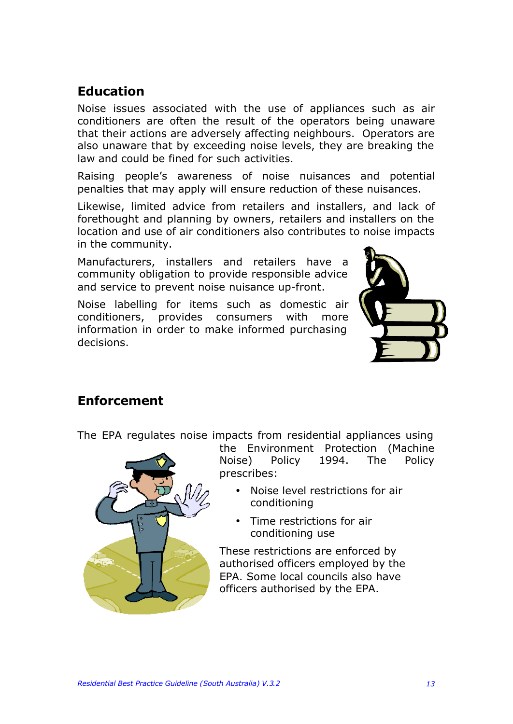# **Education**

Noise issues associated with the use of appliances such as air conditioners are often the result of the operators being unaware that their actions are adversely affecting neighbours. Operators are also unaware that by exceeding noise levels, they are breaking the law and could be fined for such activities.

Raising people's awareness of noise nuisances and potential penalties that may apply will ensure reduction of these nuisances.

Likewise, limited advice from retailers and installers, and lack of forethought and planning by owners, retailers and installers on the location and use of air conditioners also contributes to noise impacts in the community.

Manufacturers, installers and retailers have a community obligation to provide responsible advice and service to prevent noise nuisance up-front.

Noise labelling for items such as domestic air conditioners, provides consumers with more information in order to make informed purchasing decisions.



### **Enforcement**

The EPA regulates noise impacts from residential appliances using



the Environment Protection (Machine Noise) Policy 1994. The Policy prescribes:

- Noise level restrictions for air conditioning
- Time restrictions for air conditioning use

These restrictions are enforced by authorised officers employed by the EPA. Some local councils also have officers authorised by the EPA.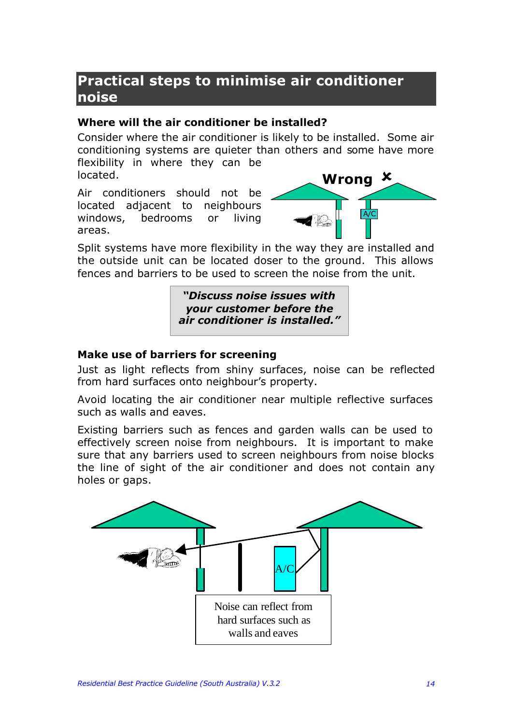# **Practical steps to minimise air conditioner noise**

#### **Where will the air conditioner be installed?**

Consider where the air conditioner is likely to be installed. Some air conditioning systems are quieter than others and some have more flexibility in where they can be located.

Air conditioners should not be located adjacent to neighbours windows, bedrooms or living areas.



Split systems have more flexibility in the way they are installed and the outside unit can be located doser to the ground. This allows fences and barriers to be used to screen the noise from the unit.

> *"Discuss noise issues with your customer before the air conditioner is installed."*

#### **Make use of barriers for screening**

Just as light reflects from shiny surfaces, noise can be reflected from hard surfaces onto neighbour's property.

Avoid locating the air conditioner near multiple reflective surfaces such as walls and eaves.

Existing barriers such as fences and garden walls can be used to effectively screen noise from neighbours. It is important to make sure that any barriers used to screen neighbours from noise blocks the line of sight of the air conditioner and does not contain any holes or gaps.

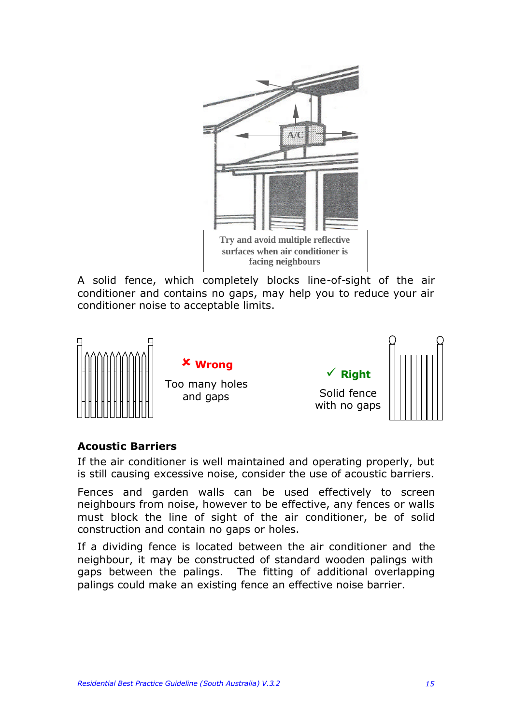

A solid fence, which completely blocks line-of-sight of the air conditioner and contains no gaps, may help you to reduce your air conditioner noise to acceptable limits.



#### **Acoustic Barriers**

If the air conditioner is well maintained and operating properly, but is still causing excessive noise, consider the use of acoustic barriers.

Fences and garden walls can be used effectively to screen neighbours from noise, however to be effective, any fences or walls must block the line of sight of the air conditioner, be of solid construction and contain no gaps or holes.

If a dividing fence is located between the air conditioner and the neighbour, it may be constructed of standard wooden palings with gaps between the palings. The fitting of additional overlapping palings could make an existing fence an effective noise barrier.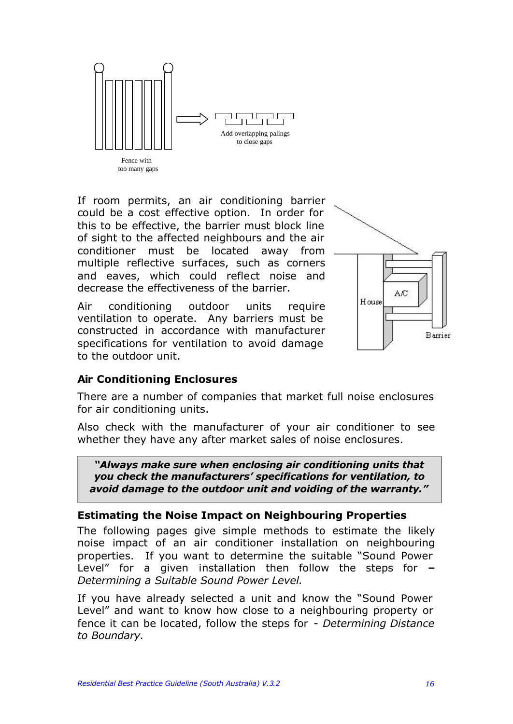

If room permits, an air conditioning barrier could be a cost effective option. In order for this to be effective, the barrier must block line of sight to the affected neighbours and the air conditioner must be located away from multiple reflective surfaces, such as corners and eaves, which could reflect noise and decrease the effectiveness of the barrier.

Air conditioning outdoor units require ventilation to operate. Any barriers must be constructed in accordance with manufacturer specifications for ventilation to avoid damage to the outdoor unit.



#### **Air Conditioning Enclosures**

There are a number of companies that market full noise enclosures for air conditioning units.

Also check with the manufacturer of your air conditioner to see whether they have any after market sales of noise enclosures.

*"Always make sure when enclosing air conditioning units that you check the manufacturers' specifications for ventilation, to avoid damage to the outdoor unit and voiding of the warranty."*

#### **Estimating the Noise Impact on Neighbouring Properties**

The following pages give simple methods to estimate the likely noise impact of an air conditioner installation on neighbouring properties. If you want to determine the suitable "Sound Power Level" for a given installation then follow the steps for **–** *Determining a Suitable Sound Power Level.*

If you have already selected a unit and know the "Sound Power Level" and want to know how close to a neighbouring property or fence it can be located, follow the steps for - *Determining Distance to Boundary.*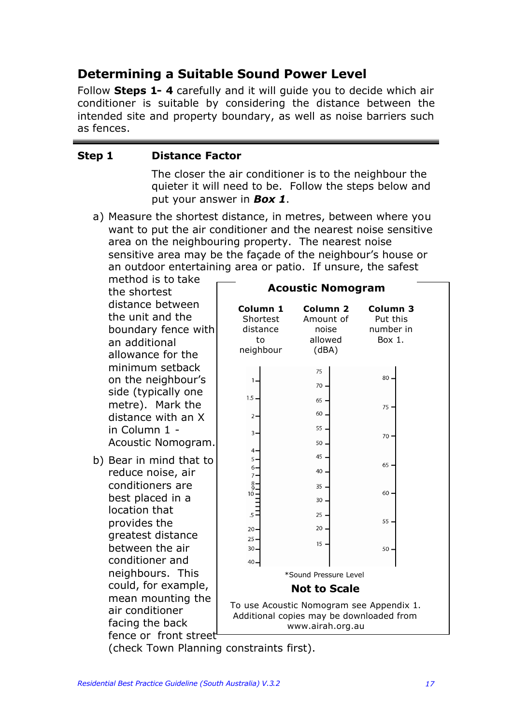# **Determining a Suitable Sound Power Level**

Follow **Steps 1- 4** carefully and it will guide you to decide which air conditioner is suitable by considering the distance between the intended site and property boundary, as well as noise barriers such as fences.

#### **Step 1 Distance Factor**

The closer the air conditioner is to the neighbour the quieter it will need to be. Follow the steps below and put your answer in *Box 1*.

a) Measure the shortest distance, in metres, between where you want to put the air conditioner and the nearest noise sensitive area on the neighbouring property. The nearest noise sensitive area may be the façade of the neighbour's house or an outdoor entertaining area or patio. If unsure, the safest

method is to take the shortest distance between the unit and the boundary fence with an additional allowance for the minimum setback on the neighbour's side (typically one metre). Mark the distance with an X in Column 1 - Acoustic Nomogram.

b) Bear in mind that to reduce noise, air conditioners are best placed in a location that provides the greatest distance between the air conditioner and neighbours. This could, for example, mean mounting the air conditioner facing the back fence or front street

| <b>Acoustic Nomogram</b>                            |                                                                                                          |                                             |  |  |  |  |  |  |
|-----------------------------------------------------|----------------------------------------------------------------------------------------------------------|---------------------------------------------|--|--|--|--|--|--|
| Column 1<br>Shortest<br>distance<br>to<br>neighbour | Column <sub>2</sub><br>Amount of<br>noise<br>allowed<br>(dBA)                                            | Column 3<br>Put this<br>number in<br>Box 1. |  |  |  |  |  |  |
| 1,                                                  | 75<br>70                                                                                                 | 80                                          |  |  |  |  |  |  |
| 1.5<br>$\overline{2}$                               | 65<br>60                                                                                                 | 75                                          |  |  |  |  |  |  |
| $3 -$                                               | 55<br>50                                                                                                 | 70                                          |  |  |  |  |  |  |
| 4.<br>5.<br>6.                                      | 45<br>40                                                                                                 | 65                                          |  |  |  |  |  |  |
| 7.<br>$^{8}_{9}$<br>10                              | 35                                                                                                       | 60                                          |  |  |  |  |  |  |
| .5                                                  | 30<br>25                                                                                                 | 55                                          |  |  |  |  |  |  |
| 20-<br>25<br>$30 -$                                 | 20<br>15                                                                                                 | 50                                          |  |  |  |  |  |  |
| 40.                                                 |                                                                                                          |                                             |  |  |  |  |  |  |
| *Sound Pressure Level                               |                                                                                                          |                                             |  |  |  |  |  |  |
| <b>Not to Scale</b>                                 |                                                                                                          |                                             |  |  |  |  |  |  |
|                                                     | To use Acoustic Nomogram see Appendix 1.<br>Additional copies may be downloaded from<br>www.airah.org.au |                                             |  |  |  |  |  |  |

(check Town Planning constraints first).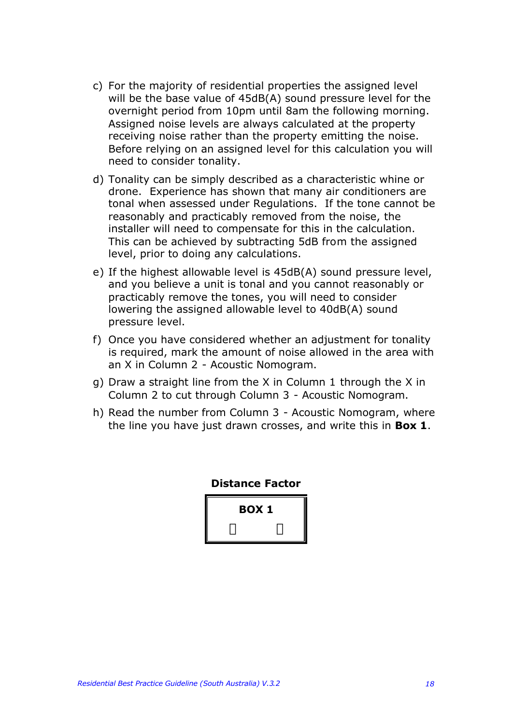- c) For the majority of residential properties the assigned level will be the base value of 45dB(A) sound pressure level for the overnight period from 10pm until 8am the following morning. Assigned noise levels are always calculated at the property receiving noise rather than the property emitting the noise. Before relying on an assigned level for this calculation you will need to consider tonality.
- d) Tonality can be simply described as a characteristic whine or drone. Experience has shown that many air conditioners are tonal when assessed under Regulations. If the tone cannot be reasonably and practicably removed from the noise, the installer will need to compensate for this in the calculation. This can be achieved by subtracting 5dB from the assigned level, prior to doing any calculations.
- e) If the highest allowable level is 45dB(A) sound pressure level, and you believe a unit is tonal and you cannot reasonably or practicably remove the tones, you will need to consider lowering the assigned allowable level to 40dB(A) sound pressure level.
- f) Once you have considered whether an adjustment for tonality is required, mark the amount of noise allowed in the area with an X in Column 2 - Acoustic Nomogram.
- g) Draw a straight line from the X in Column 1 through the X in Column 2 to cut through Column 3 - Acoustic Nomogram.
- h) Read the number from Column 3 Acoustic Nomogram, where the line you have just drawn crosses, and write this in **Box 1**.

**Distance Factor BOX 1 í ý**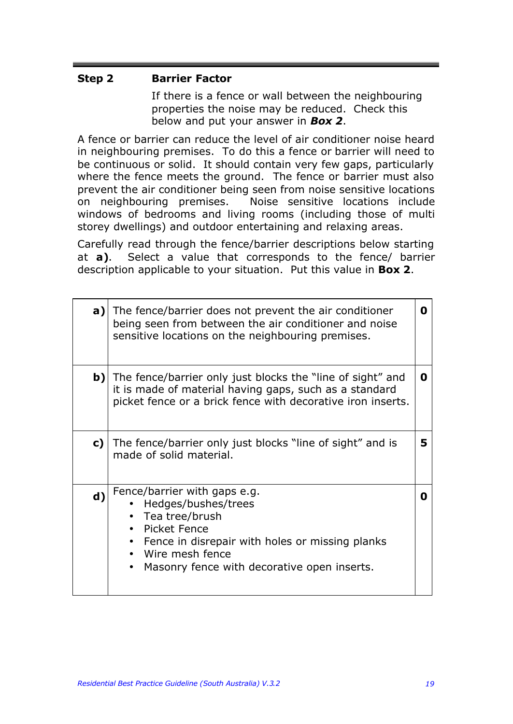#### **Step 2 Barrier Factor**

If there is a fence or wall between the neighbouring properties the noise may be reduced. Check this below and put your answer in *Box 2*.

A fence or barrier can reduce the level of air conditioner noise heard in neighbouring premises. To do this a fence or barrier will need to be continuous or solid. It should contain very few gaps, particularly where the fence meets the ground. The fence or barrier must also prevent the air conditioner being seen from noise sensitive locations on neighbouring premises. Noise sensitive locations include windows of bedrooms and living rooms (including those of multi storey dwellings) and outdoor entertaining and relaxing areas.

Carefully read through the fence/barrier descriptions below starting at **a)**. Select a value that corresponds to the fence/ barrier description applicable to your situation. Put this value in **Box 2**.

| a)          | The fence/barrier does not prevent the air conditioner<br>being seen from between the air conditioner and noise<br>sensitive locations on the neighbouring premises.                                         | O |
|-------------|--------------------------------------------------------------------------------------------------------------------------------------------------------------------------------------------------------------|---|
| b)          | The fence/barrier only just blocks the "line of sight" and<br>it is made of material having gaps, such as a standard<br>picket fence or a brick fence with decorative iron inserts.                          | O |
| c)          | The fence/barrier only just blocks "line of sight" and is<br>made of solid material.                                                                                                                         | 5 |
| $\mathbf d$ | Fence/barrier with gaps e.g.<br>Hedges/bushes/trees<br>• Tea tree/brush<br>Picket Fence<br>Fence in disrepair with holes or missing planks<br>Wire mesh fence<br>Masonry fence with decorative open inserts. | O |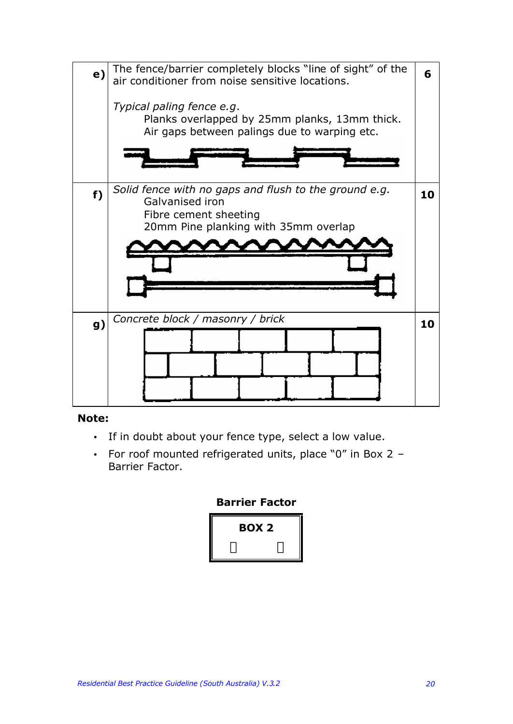

#### **Note:**

- If in doubt about your fence type, select a low value.
- For roof mounted refrigerated units, place "0" in Box 2 Barrier Factor.

#### **Barrier Factor**

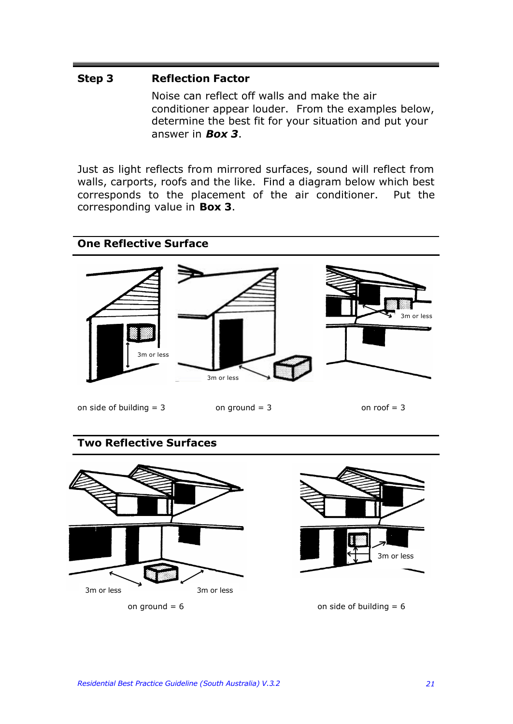#### **Step 3 Reflection Factor**

Noise can reflect off walls and make the air conditioner appear louder. From the examples below, determine the best fit for your situation and put your answer in *Box 3*.

Just as light reflects from mirrored surfaces, sound will reflect from walls, carports, roofs and the like. Find a diagram below which best corresponds to the placement of the air conditioner. Put the corresponding value in **Box 3**.



#### **Two Reflective Surfaces**





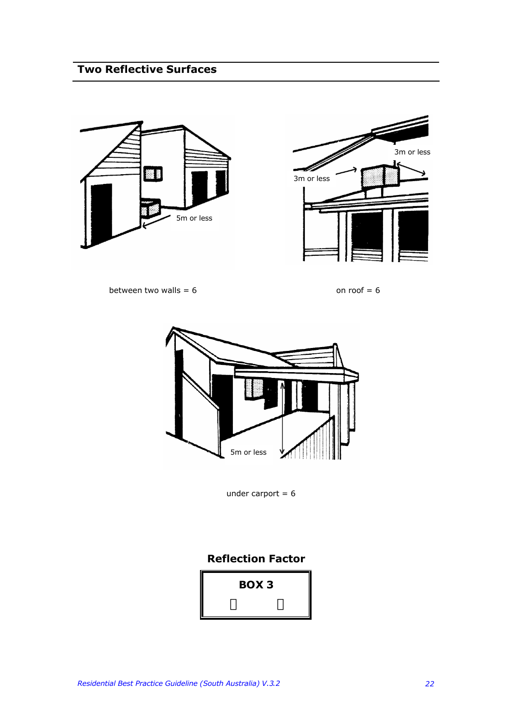# **Two Reflective Surfaces**





between two walls =  $6$  on roof =  $6$ 



under carport  $= 6$ 

#### **Reflection Factor**

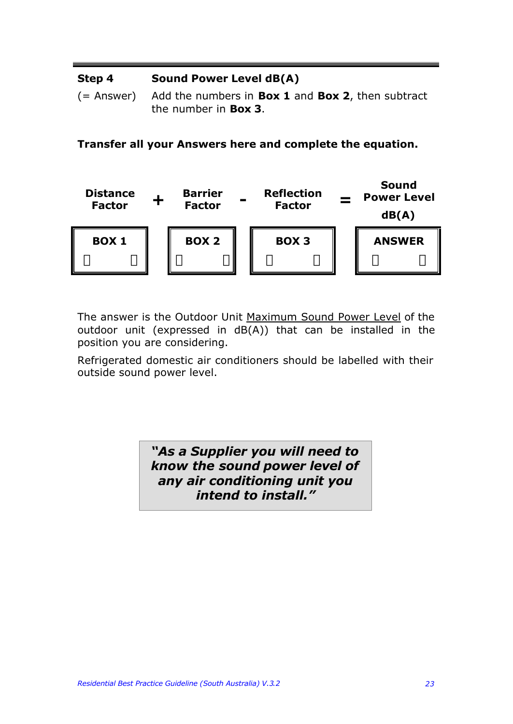#### **Step 4 Sound Power Level dB(A)**

(= Answer) Add the numbers in **Box 1** and **Box 2**, then subtract the number in **Box 3**.

**Transfer all your Answers here and complete the equation.**



The answer is the Outdoor Unit Maximum Sound Power Level of the outdoor unit (expressed in dB(A)) that can be installed in the position you are considering.

Refrigerated domestic air conditioners should be labelled with their outside sound power level.

> *"As a Supplier you will need to know the sound power level of any air conditioning unit you intend to install."*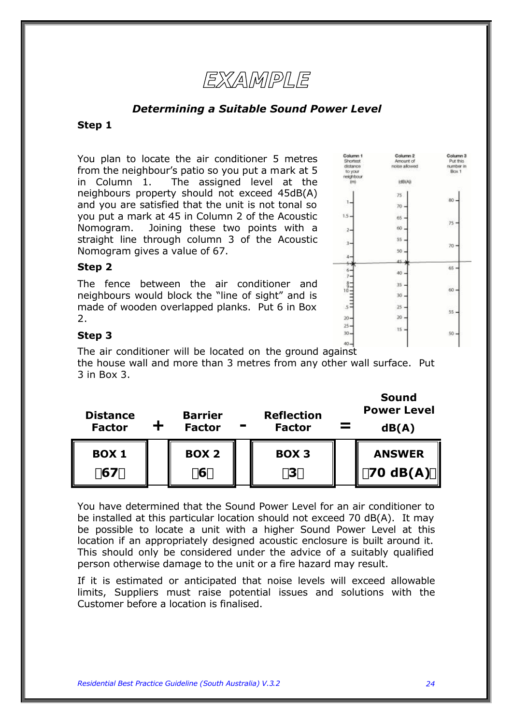

#### *Determining a Suitable Sound Power Level*

#### **Step 1**

You plan to locate the air conditioner 5 metres from the neighbour's patio so you put a mark at 5 in Column 1. The assigned level at the neighbours property should not exceed 45dB(A) and you are satisfied that the unit is not tonal so you put a mark at 45 in Column 2 of the Acoustic Nomogram. Joining these two points with a straight line through column 3 of the Acoustic Nomogram gives a value of 67.

#### **Step 2**

The fence between the air conditioner and neighbours would block the "line of sight" and is made of wooden overlapped planks. Put 6 in Box 2.

| Column 1<br>Shortest<br>distance<br>to your<br>neichbour<br>im) | Column 2<br>Amount of<br>noise allowed<br><b>kdB(A)</b> | Column 3<br>Put this<br>number in<br>Box 1 |
|-----------------------------------------------------------------|---------------------------------------------------------|--------------------------------------------|
| 1,                                                              | 75<br>70                                                | 80                                         |
| $1.5 -$<br>$\mathbf{2}$                                         | 65<br>60                                                | 75                                         |
| 3,                                                              | 55<br>50                                                | 70                                         |
| 6.<br>7                                                         | 45<br>40.                                               | 65                                         |
| $rac{8}{10}$                                                    | 35<br>30                                                | 60                                         |
| $s^2$<br>20-                                                    | 25<br>20                                                | 55                                         |
| $25 -$<br>$30 -$<br>$40 -$                                      | $-15$                                                   | 50                                         |
|                                                                 |                                                         |                                            |

#### **Step 3**

The air conditioner will be located on the ground against the house wall and more than 3 metres from any other wall surface. Put 3 in Box 3.

| <b>Distance</b><br><b>Factor</b> | <b>Barrier</b><br><b>Factor</b> | <b>Reflection</b><br><b>Factor</b> | <b>Sound</b><br><b>Power Level</b><br>dB(A) |
|----------------------------------|---------------------------------|------------------------------------|---------------------------------------------|
| <b>BOX 1</b><br>167 <sub>y</sub> | <b>BOX 2</b><br>í 6ý            | <b>BOX 3</b><br>í3ý                | <b>ANSWER</b><br>$\ $ 170 dB(A) $\hat{y}$   |

You have determined that the Sound Power Level for an air conditioner to be installed at this particular location should not exceed 70 dB(A). It may be possible to locate a unit with a higher Sound Power Level at this location if an appropriately designed acoustic enclosure is built around it. This should only be considered under the advice of a suitably qualified person otherwise damage to the unit or a fire hazard may result.

If it is estimated or anticipated that noise levels will exceed allowable limits, Suppliers must raise potential issues and solutions with the Customer before a location is finalised.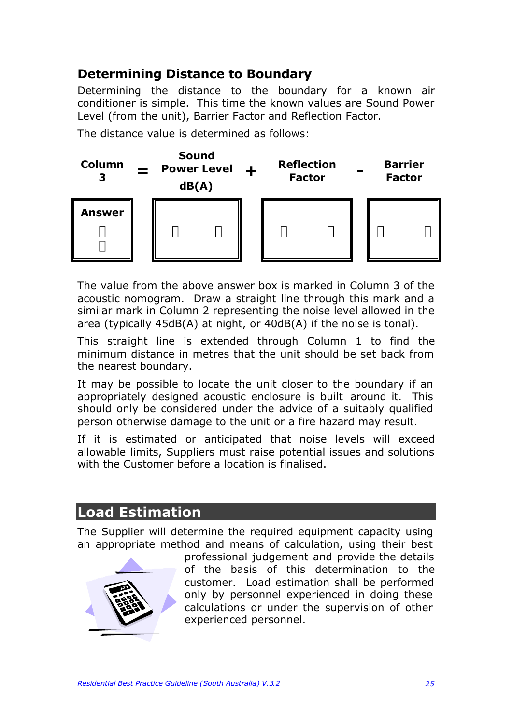# **Determining Distance to Boundary**

Determining the distance to the boundary for a known air conditioner is simple. This time the known values are Sound Power Level (from the unit), Barrier Factor and Reflection Factor.

The distance value is determined as follows:



The value from the above answer box is marked in Column 3 of the acoustic nomogram. Draw a straight line through this mark and a similar mark in Column 2 representing the noise level allowed in the area (typically 45dB(A) at night, or 40dB(A) if the noise is tonal).

This straight line is extended through Column 1 to find the minimum distance in metres that the unit should be set back from the nearest boundary.

It may be possible to locate the unit closer to the boundary if an appropriately designed acoustic enclosure is built around it. This should only be considered under the advice of a suitably qualified person otherwise damage to the unit or a fire hazard may result.

If it is estimated or anticipated that noise levels will exceed allowable limits, Suppliers must raise potential issues and solutions with the Customer before a location is finalised.

# **Load Estimation**

The Supplier will determine the required equipment capacity using an appropriate method and means of calculation, using their best



professional judgement and provide the details of the basis of this determination to the customer. Load estimation shall be performed only by personnel experienced in doing these calculations or under the supervision of other experienced personnel.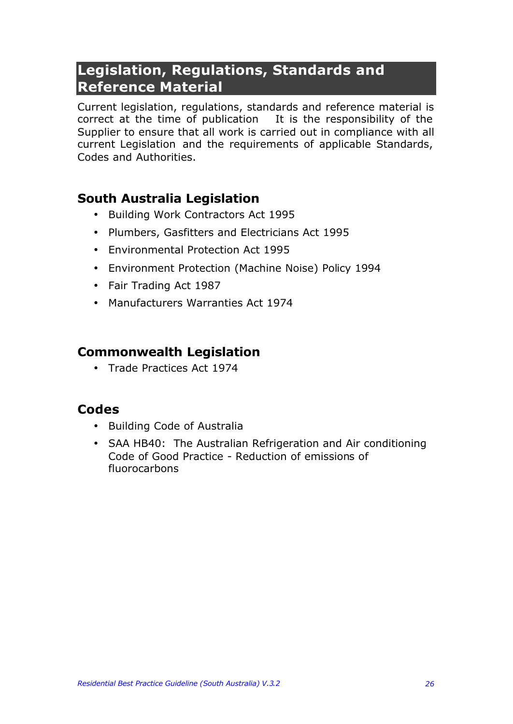# **Legislation, Regulations, Standards and Reference Material**

Current legislation, regulations, standards and reference material is correct at the time of publication It is the responsibility of the Supplier to ensure that all work is carried out in compliance with all current Legislation and the requirements of applicable Standards, Codes and Authorities.

### **South Australia Legislation**

- Building Work Contractors Act 1995
- Plumbers, Gasfitters and Electricians Act 1995
- Environmental Protection Act 1995
- Environment Protection (Machine Noise) Policy 1994
- Fair Trading Act 1987
- Manufacturers Warranties Act 1974

### **Commonwealth Legislation**

• Trade Practices Act 1974

### **Codes**

- Building Code of Australia
- SAA HB40: The Australian Refrigeration and Air conditioning Code of Good Practice - Reduction of emissions of fluorocarbons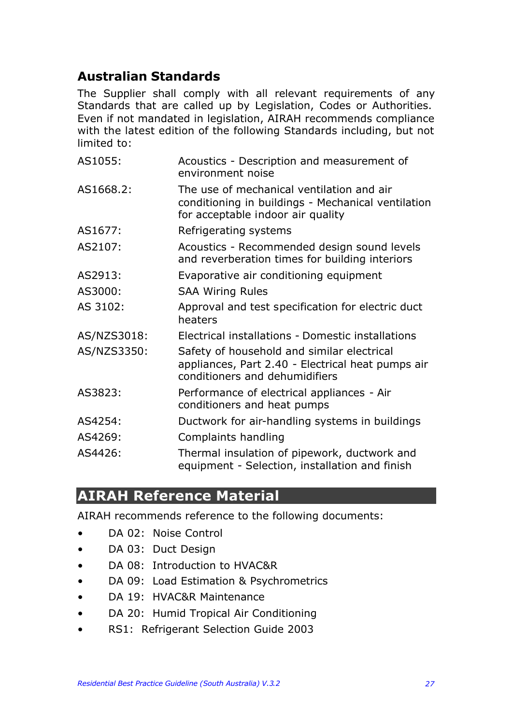# **Australian Standards**

The Supplier shall comply with all relevant requirements of any Standards that are called up by Legislation, Codes or Authorities. Even if not mandated in legislation, AIRAH recommends compliance with the latest edition of the following Standards including, but not limited to:

| AS1055:     | Acoustics - Description and measurement of<br>environment noise                                                                      |
|-------------|--------------------------------------------------------------------------------------------------------------------------------------|
| AS1668.2:   | The use of mechanical ventilation and air<br>conditioning in buildings - Mechanical ventilation<br>for acceptable indoor air quality |
| AS1677:     | Refrigerating systems                                                                                                                |
| AS2107:     | Acoustics - Recommended design sound levels<br>and reverberation times for building interiors                                        |
| AS2913:     | Evaporative air conditioning equipment                                                                                               |
| AS3000:     | <b>SAA Wiring Rules</b>                                                                                                              |
| AS 3102:    | Approval and test specification for electric duct<br>heaters                                                                         |
| AS/NZS3018: | Electrical installations - Domestic installations                                                                                    |
| AS/NZS3350: | Safety of household and similar electrical<br>appliances, Part 2.40 - Electrical heat pumps air<br>conditioners and dehumidifiers    |
| AS3823:     | Performance of electrical appliances - Air<br>conditioners and heat pumps                                                            |
| AS4254:     | Ductwork for air-handling systems in buildings                                                                                       |
| AS4269:     | Complaints handling                                                                                                                  |
| AS4426:     | Thermal insulation of pipework, ductwork and<br>equipment - Selection, installation and finish                                       |

# **AIRAH Reference Material**

AIRAH recommends reference to the following documents:

- DA 02: Noise Control
- DA 03: Duct Design
- DA 08: Introduction to HVAC&R
- DA 09: Load Estimation & Psychrometrics
- DA 19: HVAC&R Maintenance
- DA 20: Humid Tropical Air Conditioning
- RS1: Refrigerant Selection Guide 2003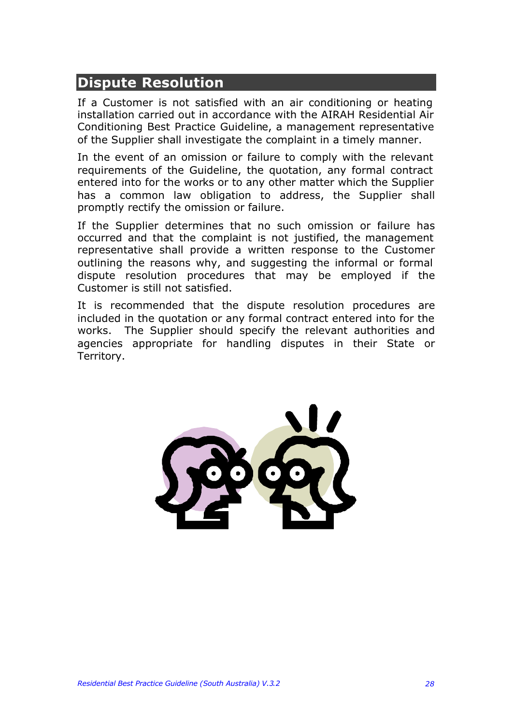# **Dispute Resolution**

If a Customer is not satisfied with an air conditioning or heating installation carried out in accordance with the AIRAH Residential Air Conditioning Best Practice Guideline, a management representative of the Supplier shall investigate the complaint in a timely manner.

In the event of an omission or failure to comply with the relevant requirements of the Guideline, the quotation, any formal contract entered into for the works or to any other matter which the Supplier has a common law obligation to address, the Supplier shall promptly rectify the omission or failure.

If the Supplier determines that no such omission or failure has occurred and that the complaint is not justified, the management representative shall provide a written response to the Customer outlining the reasons why, and suggesting the informal or formal dispute resolution procedures that may be employed if the Customer is still not satisfied.

It is recommended that the dispute resolution procedures are included in the quotation or any formal contract entered into for the works. The Supplier should specify the relevant authorities and agencies appropriate for handling disputes in their State or Territory.

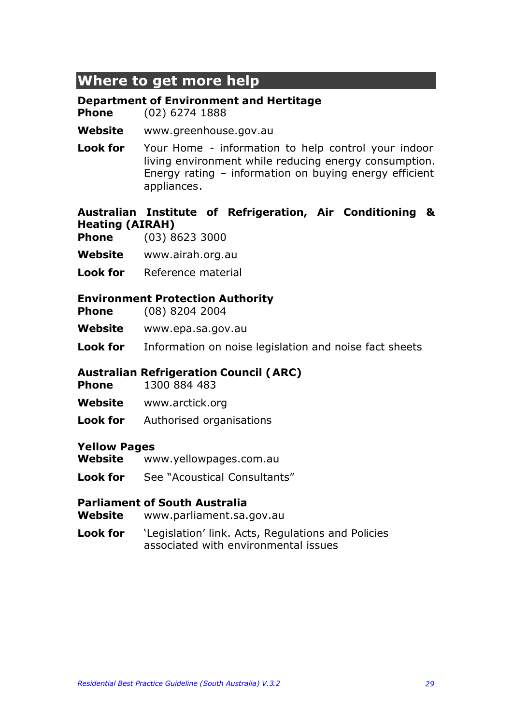# **Where to get more help**

#### **Department of Environment and Hertitage**

**Phone** (02) 6274 1888

**Website** www.greenhouse.gov.au

**Look for** Your Home - information to help control your indoor living environment while reducing energy consumption. Energy rating – information on buying energy efficient appliances.

#### **Australian Institute of Refrigeration, Air Conditioning & Heating (AIRAH)**

- **Phone** (03) 8623 3000
- **Website** www.airah.org.au
- **Look for** Reference material

#### **Environment Protection Authority**

- **Phone** (08) 8204 2004
- **Website** www.epa.sa.gov.au
- **Look for** Information on noise legislation and noise fact sheets

#### **Australian Refrigeration Council (ARC)**

- **Phone** 1300 884 483
- **Website** www.arctick.org
- **Look for** Authorised organisations

#### **Yellow Pages**

- **Website** www.yellowpages.com.au
- **Look for** See "Acoustical Consultants"

#### **Parliament of South Australia**

- **Website** www.parliament.sa.gov.au
- **Look for** 'Legislation' link. Acts, Regulations and Policies associated with environmental issues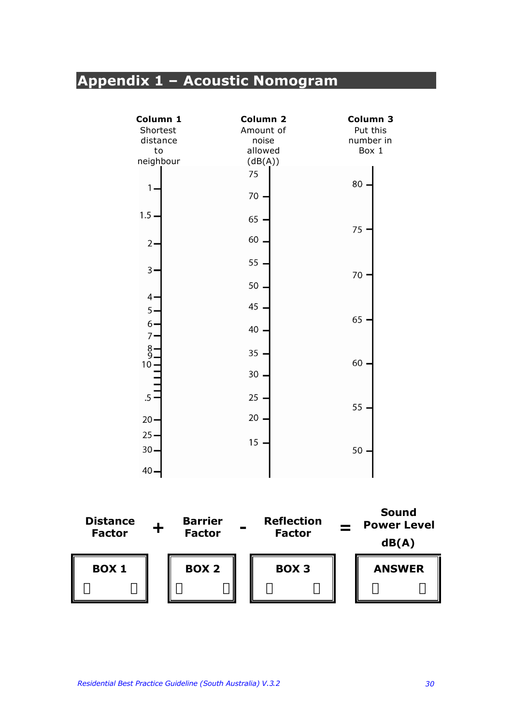# **Appendix 1 – Acoustic Nomogram**

| Column 1<br>Shortest<br>distance<br>to<br>neighbour | Column <sub>2</sub><br>Amount of<br>noise<br>allowed<br>(dB(A)) | Column 3<br>Put this<br>number in<br>Box 1 |
|-----------------------------------------------------|-----------------------------------------------------------------|--------------------------------------------|
| 1                                                   | 75<br>70                                                        | 80                                         |
| $1.5 \cdot$<br>$2 -$                                | 65<br>60                                                        | 75                                         |
| $\overline{3}$<br>4.                                | 55<br>50                                                        | 70                                         |
| $5 -$<br>$6 -$<br>7 <sup>1</sup>                    | 45<br>40                                                        | 65                                         |
| $\frac{8}{9}$<br>10 <sub>1</sub>                    | 35<br>30                                                        | 60                                         |
| $.5 -$<br>$20 -$                                    | 25<br>20                                                        | 55                                         |
| $25 -$<br>$30 -$<br>$40 -$                          | 15                                                              | 50                                         |

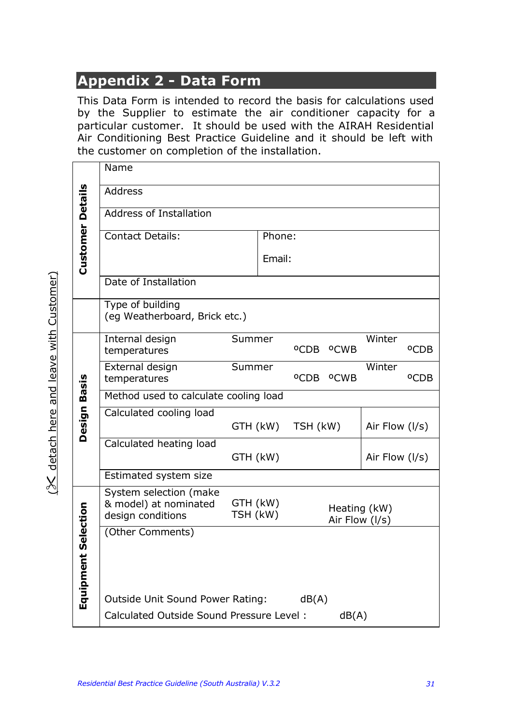# **Appendix 2 - Data Form**

This Data Form is intended to record the basis for calculations used by the Supplier to estimate the air conditioner capacity for a particular customer. It should be used with the AIRAH Residential Air Conditioning Best Practice Guideline and it should be left with the customer on completion of the installation.

|                        |                                                   | Name                                                                                                                           |          |          |          |                                   |                |                  |  |  |
|------------------------|---------------------------------------------------|--------------------------------------------------------------------------------------------------------------------------------|----------|----------|----------|-----------------------------------|----------------|------------------|--|--|
|                        |                                                   | <b>Address</b>                                                                                                                 |          |          |          |                                   |                |                  |  |  |
|                        |                                                   | <b>Address of Installation</b>                                                                                                 |          |          |          |                                   |                |                  |  |  |
|                        |                                                   | <b>Contact Details:</b>                                                                                                        |          |          |          |                                   |                |                  |  |  |
|                        | <b>Customer Details</b>                           | Email:                                                                                                                         |          |          |          |                                   |                |                  |  |  |
|                        |                                                   | Date of Installation                                                                                                           |          |          |          |                                   |                |                  |  |  |
|                        |                                                   | Type of building<br>(eg Weatherboard, Brick etc.)                                                                              |          |          |          |                                   |                |                  |  |  |
|                        |                                                   | Internal design<br>temperatures                                                                                                | Summer   |          |          | <sup>O</sup> CDB <sup>O</sup> CWB | Winter         | <sup>o</sup> CDB |  |  |
|                        |                                                   | External design<br>temperatures                                                                                                | Summer   |          |          | <sup>O</sup> CDB <sup>O</sup> CWB | Winter         | <sup>o</sup> CDB |  |  |
| Basis                  |                                                   | Method used to calculate cooling load                                                                                          |          |          |          |                                   |                |                  |  |  |
|                        | Design                                            | Calculated cooling load                                                                                                        | GTH (kW) |          | TSH (kW) |                                   | Air Flow (I/s) |                  |  |  |
|                        |                                                   | Calculated heating load                                                                                                        |          | GTH (kW) |          |                                   | Air Flow (I/s) |                  |  |  |
|                        |                                                   | Estimated system size                                                                                                          |          |          |          |                                   |                |                  |  |  |
|                        |                                                   | System selection (make<br>& model) at nominated<br>GTH (kW)<br>Heating (kW)<br>TSH (kW)<br>design conditions<br>Air Flow (I/s) |          |          |          |                                   |                |                  |  |  |
| Selection<br>Equipment | (Other Comments)                                  |                                                                                                                                |          |          |          |                                   |                |                  |  |  |
|                        |                                                   | Outside Unit Sound Power Rating:                                                                                               |          |          | dB(A)    |                                   |                |                  |  |  |
|                        | Calculated Outside Sound Pressure Level:<br>dB(A) |                                                                                                                                |          |          |          |                                   |                |                  |  |  |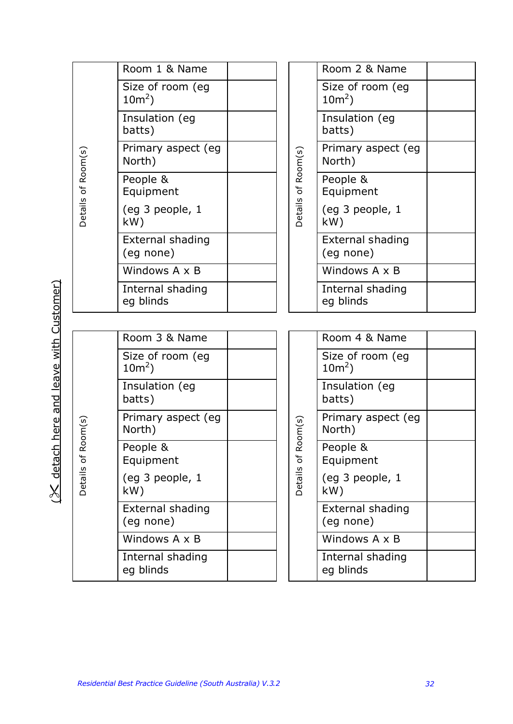|  |                                  | Room 1 & Name                 |  |                               | Room 2 & Name                        |  |
|--|----------------------------------|-------------------------------|--|-------------------------------|--------------------------------------|--|
|  |                                  | Size of room (eg<br>$10m^2$ ) |  | of Room(s)<br>Details         | Size of room (eg<br>$10m^2$ )        |  |
|  |                                  | Insulation (eg<br>batts)      |  |                               | Insulation (eg<br>batts)             |  |
|  |                                  | Primary aspect (eg<br>North)  |  |                               | Primary aspect (eg<br>North)         |  |
|  | Details of Room(s)               | People &<br>Equipment         |  |                               | People &<br>Equipment                |  |
|  |                                  | (eg 3 people, 1<br>kW)        |  |                               | (eg 3 people, 1<br>kW)               |  |
|  |                                  | External shading<br>(eg none) |  |                               | <b>External shading</b><br>(eg none) |  |
|  |                                  | Windows A x B                 |  |                               | Windows A x B                        |  |
|  |                                  | Internal shading<br>eg blinds |  |                               | Internal shading<br>eg blinds        |  |
|  |                                  |                               |  |                               |                                      |  |
|  | $\frac{1}{s}$<br>≃<br>Details of | Room 3 & Name                 |  |                               | Room 4 & Name                        |  |
|  |                                  | Size of room (eg<br>$10m^2$ ) |  |                               | Size of room (eg<br>$10m^2$ )        |  |
|  |                                  | Insulation (eg<br>batts)      |  | oom(s)<br>≃<br>$\mathfrak{b}$ | Insulation (eg<br>batts)             |  |
|  |                                  | Primary aspect (eg<br>North)  |  |                               | Primary aspect (eg<br>North)         |  |
|  |                                  | People &<br>Equipment         |  |                               | People &<br>Equipment                |  |
|  |                                  | (eg 3 people, 1<br>kW)        |  | Details                       | (eg 3 people, 1<br>kW)               |  |
|  |                                  | External shading<br>(eg none) |  |                               | External shading<br>(eq none)        |  |
|  |                                  | Windows $A \times B$          |  |                               | Windows A x B                        |  |
|  |                                  | Internal shading<br>eg blinds |  |                               | Internal shading<br>eg blinds        |  |

(% detach here and leave with Customer)  $(X$  detach here and leave with Customer)